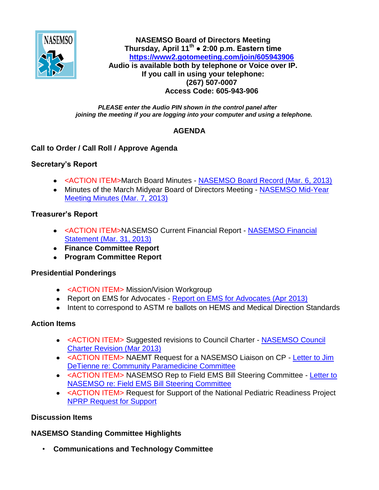

**NASEMSO Board of Directors Meeting Thursday, April 11th ● 2:00 p.m. Eastern time <https://www2.gotomeeting.com/join/605943906> Audio is available both by telephone or Voice over IP. If you call in using your telephone: (267) 507-0007 Access Code: 605-943-906**

#### *PLEASE enter the Audio PIN shown in the control panel after joining the meeting if you are logging into your computer and using a telephone.*

## **AGENDA**

## **Call to Order / Call Roll / Approve Agenda**

## **Secretary's Report**

- <ACTION ITEM>March Board Minutes [NASEMSO Board Record \(Mar. 6, 2013\)](https://www.nasemso.org/Members/Board/documents/NASEMSO-Board-Record-06Mar2013.pdf)
- Minutes of the March Midyear Board of Directors Meeting NASEMSO Mid-Year [Meeting Minutes \(Mar. 7, 2013\)](https://www.nasemso.org/Members/Board/documents/NASEMSO-MY-Minutes-07Mar2013.pdf)

## **Treasurer's Report**

- <ACTION ITEM>NASEMSO Current Financial Report [NASEMSO Financial](https://www.nasemso.org/Members/Board/documents/NASEMSOFinancial-Stmt31Mar2013.pdf)  [Statement \(Mar. 31, 2013\)](https://www.nasemso.org/Members/Board/documents/NASEMSOFinancial-Stmt31Mar2013.pdf)
- **Finance Committee Report**
- **Program Committee Report**

### **Presidential Ponderings**

- <ACTION ITEM> Mission/Vision Workgroup
- Report on EMS for Advocates [Report on EMS for Advocates \(Apr 2013\)](https://www.nasemso.org/Members/Board/documents/Report-on-EMS-for-Advocates-Apr2013.pdf)
- Intent to correspond to ASTM re ballots on HEMS and Medical Direction Standards

# **Action Items**

- <ACTION ITEM> Suggested revisions to Council Charter [NASEMSO Council](https://www.nasemso.org/Members/Board/documents/Council-Charter-Mar2013-Revision.pdf)  [Charter Revision \(Mar 2013\)](https://www.nasemso.org/Members/Board/documents/Council-Charter-Mar2013-Revision.pdf)
- <ACTION ITEM> NAEMT Request for a NASEMSO Liaison on CP [Letter to Jim](https://www.nasemso.org/Members/Board/documents/Letter-to-Jim-DeTienne-Community-Paramedicine-Committee.pdf)  [DeTienne re: Community Paramedicine Committee](https://www.nasemso.org/Members/Board/documents/Letter-to-Jim-DeTienne-Community-Paramedicine-Committee.pdf)
- <ACTION ITEM> NASEMSO Rep to Field EMS Bill Steering Committee [Letter to](https://www.nasemso.org/Members/Board/documents/Letter-to-NASEMSO-Field-EMS-Bill-Steering-Committee.pdf)  [NASEMSO re: Field EMS Bill Steering](https://www.nasemso.org/Members/Board/documents/Letter-to-NASEMSO-Field-EMS-Bill-Steering-Committee.pdf) Committee
- <ACTION ITEM> Request for Support of the National Pediatric Readiness Project [NPRP Request for Support](https://www.nasemso.org/Members/Board/documents/NPRP-Request-for-Support.pdf)

# **Discussion Items**

# **NASEMSO Standing Committee Highlights**

• **Communications and Technology Committee**